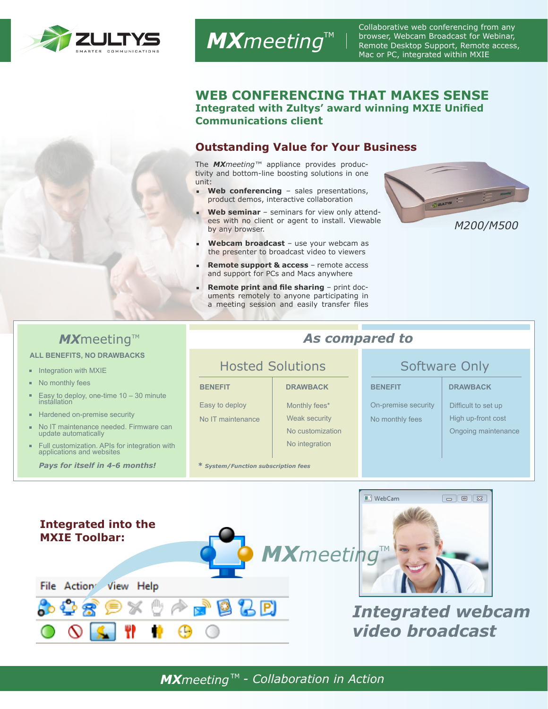

Collaborative web conferencing from any browser, Webcam Broadcast for Webinar, Remote Desktop Support, Remote access, Mac or PC, integrated within MXIE

### **WEB CONFERENCING THAT MAKES SENSE Integrated with Zultys' award winning MXIE Unified Communications client**

## **Outstanding Value for Your Business**

The *MXmeeting™* appliance provides productivity and bottom-line boosting solutions in one unit:

*MXmeeting*™

- **Web conferencing** sales presentations, product demos, interactive collaboration
- **Web seminar**  seminars for view only attendees with no client or agent to install. Viewable by any browser.
- Webcam broadcast use your webcam as the presenter to broadcast video to viewers
- **Remote support & access** remote access and support for PCs and Macs anywhere
- **Remote print and file sharing** print documents remotely to anyone participating in a meeting session and easily transfer files



# **MX**meeting™ **As compared to**

### **ALL BENEFITS, NO DRAWBACKS**

- Integration with MXIE
- No monthly fees
- Easy to deploy, one-time 10 30 minute installation
- Hardened on-premise security
- No IT maintenance needed. Firmware can update automatically
- u. Full customization. APIs for integration with applications and websites

Easy to deploy No IT maintenance

# **BENEFIT DRAWBACK BENEFIT DRAWBACK** Monthly fees\*

Weak security No customization No integration

*Pays for itself in 4-6 months! \* System/Function subscription fees*

## Hosted Solutions **Software Only**

On-premise security No monthly fees

Difficult to set up High up-front cost Ongoing maintenance